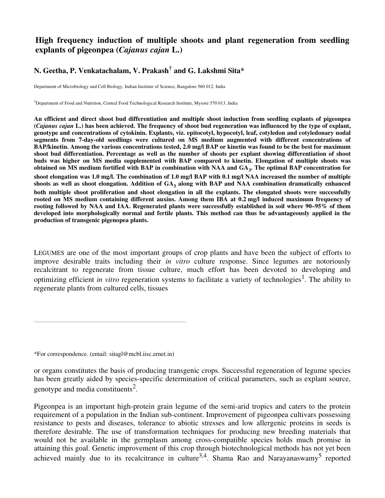## **High frequency induction of multiple shoots and plant regeneration from seedling explants of pigeonpea (***Cajanus cajan* **L.)**

# **N. Geetha, P. Venkatachalam, V. Prakash † and G. Lakshmi Sita\***

Department of Microbiology and Cell Biology, Indian Institute of Science, Bangalore 560 012, India

†Department of Food and Nutrition, Central Food Technological Research Institute, Mysore 570 013, India

An efficient and direct shoot bud differentiation and multiple shoot induction from seedling explants of pigeonpea (Cajanus cajan L.) has been achieved. The frequency of shoot bud regeneration was influenced by the type of explant, **genotype and concentrations of cytokinin. Explants, viz. epitocotyl, hypocotyl, leaf, cotyledon and cotyledonary nodal segments from 7-day-old seedlings were cultured on MS medium augmented with different concentrations of** BAP/kinetin. Among the various concentrations tested, 2.0 mg/l BAP or kinetin was found to be the best for maximum shoot bud differentiation. Percentage as well as the number of shoots per explant showing differentiation of shoot **buds was higher on MS media supplemented with BAP compared to kinetin. Elongation of multiple shoots was** obtained on MS medium fortified with BAP in combination with NAA and  $\mathrm{GA}_{\mathbf{3}^{\centerdot}}$  The optimal BAP concentration for shoot elongation was 1.0 mg/l. The combination of 1.0 mg/l BAP with 0.1 mg/l NAA increased the number of multiple shoots as well as shoot elongation. Addition of  $\mathrm{GA}_3$  along with BAP and NAA combination dramatically enhanced both multiple shoot proliferation and shoot elongation in all the explants. The elongated shoots were successfully **rooted on MS medium containing different auxins. Among them IBA at 0.2 mg/l induced maximum frequency of** rooting followed by NAA and IAA. Regenerated plants were successfully established in soil where 90–95% of them **developed into morphologically normal and fertile plants. This method can thus be advantageously applied in the production of transgenic pigenopea plants.**

LEGUMES are one of the most important groups of crop plants and have been the subject of efforts to improve desirable traits including their *in vitro* culture response. Since legumes are notoriously recalcitrant to regenerate from tissue culture, much effort has been devoted to developing and optimizing efficient *in vitro* regeneration systems to facilitate a variety of technologies 1 . The ability to regenerate plants from cultured cells, tissues

\*For correspondence. (email: sitagl@mcbl.iisc.ernet.in)

or organs constitutes the basis of producing transgenic crops. Successful regeneration of legume species has been greatly aided by species-specific determination of critical parameters, such as explant source, genotype and media constituents<sup>2</sup>.

Pigeonpea is an important high-protein grain legume of the semi-arid tropics and caters to the protein requirement of a population in the Indian sub-continent. Improvement of pigeonpea cultivars possessing resistance to pests and diseases, tolerance to abiotic stresses and low allergenic proteins in seeds is therefore desirable. The use of transformation techniques for producing new breeding materials that would not be available in the germplasm among cross-compatible species holds much promise in attaining this goal. Genetic improvement of this crop through biotechnological methods has not yet been achieved mainly due to its recalcitrance in culture<sup>3,4</sup>. Shama Rao and Narayanaswamy<sup>5</sup> reported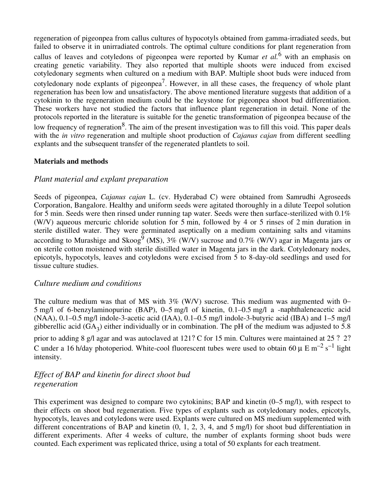regeneration of pigeonpea from callus cultures of hypocotyls obtained from gamma-irradiated seeds, but failed to observe it in unirradiated controls. The optimal culture conditions for plant regeneration from callus of leaves and cotyledons of pigeonpea were reported by Kumar *et al.* <sup>6</sup> with an emphasis on creating genetic variability. They also reported that multiple shoots were induced from excised cotyledonary segments when cultured on a medium with BAP. Multiple shoot buds were induced from cotyledonary node explants of pigeonpea<sup>7</sup>. However, in all these cases, the frequency of whole plant regeneration has been low and unsatisfactory. The above mentioned literature suggests that addition of a cytokinin to the regeneration medium could be the keystone for pigeonpea shoot bud differentiation. These workers have not studied the factors that influence plant regeneration in detail. None of the protocols reported in the literature is suitable for the genetic transformation of pigeonpea because of the low frequency of regneration<sup>8</sup>. The aim of the present investigation was to fill this void. This paper deals with the *in vitro* regeneration and multiple shoot production of *Cajanus cajan* from different seedling explants and the subsequent transfer of the regenerated plantlets to soil.

#### **Materials and methods**

### *Plant material and explant preparation*

Seeds of pigeonpea, *Cajanus cajan* L. (cv. Hyderabad C) were obtained from Samrudhi Agroseeds Corporation, Bangalore. Healthy and uniform seeds were agitated thoroughly in a dilute Teepol solution for 5 min. Seeds were then rinsed under running tap water. Seeds were then surface-sterilized with 0.1% (W/V) aqueous mercuric chloride solution for 5 min, followed by 4 or 5 rinses of 2 min duration in sterile distilled water. They were germinated aseptically on a medium containing salts and vitamins according to Murashige and Skoog<sup>9</sup> (MS), 3% (W/V) sucrose and 0.7% (W/V) agar in Magenta jars or on sterile cotton moistened with sterile distilled water in Magenta jars in the dark. Cotyledonary nodes, epicotyls, hypocotyls, leaves and cotyledons were excised from 5 to 8-day-old seedlings and used for tissue culture studies.

#### *Culture medium and conditions*

The culture medium was that of MS with 3% (W/V) sucrose. This medium was augmented with 0– 5 mg/l of 6-benzylaminopurine (BAP), 0–5 mg/l of kinetin, 0.1–0.5 mg/l a -naphthaleneacetic acid (NAA), 0.1–0.5 mg/l indole-3-acetic acid (IAA), 0.1–0.5 mg/l indole-3-butyric acid (IBA) and 1–5 mg/l gibberellic acid  $(GA_3)$  either individually or in combination. The pH of the medium was adjusted to 5.8

prior to adding 8 g/l agar and was autoclaved at 121? C for 15 min. Cultures were maintained at 25 ? 2? C under a 16 h/day photoperiod. White-cool fluorescent tubes were used to obtain 60  $\mu$  E m<sup>-2</sup> s<sup>-1</sup> light intensity.

# *Effect of BAP and kinetin for direct shoot bud regeneration*

This experiment was designed to compare two cytokinins; BAP and kinetin (0–5 mg/l), with respect to their effects on shoot bud regeneration. Five types of explants such as cotyledonary nodes, epicotyls, hypocotyls, leaves and cotyledons were used. Explants were cultured on MS medium supplemented with different concentrations of BAP and kinetin (0, 1, 2, 3, 4, and 5 mg/l) for shoot bud differentiation in different experiments. After 4 weeks of culture, the number of explants forming shoot buds were counted. Each experiment was replicated thrice, using a total of 50 explants for each treatment.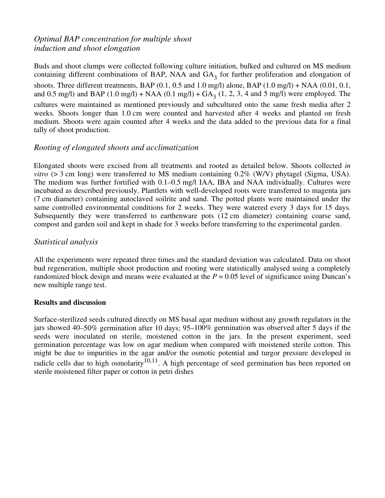# *Optimal BAP concentration for multiple shoot induction and shoot elongation*

Buds and shoot clumps were collected following culture initiation, bulked and cultured on MS medium containing different combinations of BAP, NAA and  $GA<sub>3</sub>$  for further proliferation and elongation of shoots. Three different treatments, BAP  $(0.1, 0.5$  and  $1.0$  mg/l) alone, BAP  $(1.0$  mg/l) + NAA  $(0.01, 0.1, 0.1)$ and 0.5 mg/l) and BAP  $(1.0 \text{ mg/l}) + \text{NAA} (0.1 \text{ mg/l}) + \text{GA}_3 (1, 2, 3, 4 \text{ and } 5 \text{ mg/l})$  were employed. The cultures were maintained as mentioned previously and subcultured onto the same fresh media after 2 weeks. Shoots longer than 1.0 cm were counted and harvested after 4 weeks and planted on fresh medium. Shoots were again counted after 4 weeks and the data added to the previous data for a final tally of shoot production.

## *Rooting of elongated shoots and acclimatization*

Elongated shoots were excised from all treatments and rooted as detailed below. Shoots collected *in vitro* (> 3 cm long) were transferred to MS medium containing 0.2% (W/V) phytagel (Sigma, USA). The medium was further fortified with 0.1–0.5 mg/l IAA, IBA and NAA individually. Cultures were incubated as described previously. Plantlets with well-developed roots were transferred to magenta jars (7 cm diameter) containing autoclaved soilrite and sand. The potted plants were maintained under the same controlled environmental conditions for 2 weeks. They were watered every 3 days for 15 days. Subsequently they were transferred to earthenware pots (12 cm diameter) containing coarse sand, compost and garden soil and kept in shade for 3 weeks before transferring to the experimental garden.

## *Statistical analysis*

All the experiments were repeated three times and the standard deviation was calculated. Data on shoot bud regeneration, multiple shoot production and rooting were statistically analysed using a completely randomized block design and means were evaluated at the  $P = 0.05$  level of significance using Duncan's new multiple range test.

#### **Results and discussion**

Surface-sterilized seeds cultured directly on MS basal agar medium without any growth regulators in the jars showed 40–50% germination after 10 days; 95–100% germination was observed after 5 days if the seeds were inoculated on sterile, moistened cotton in the jars. In the present experiment, seed germination percentage was low on agar medium when compared with moistened sterile cotton. This might be due to impurities in the agar and/or the osmotic potential and turgor pressure developed in radicle cells due to high osmolarity<sup>10,11</sup>. A high percentage of seed germination has been reported on sterile moistened filter paper or cotton in petri dishes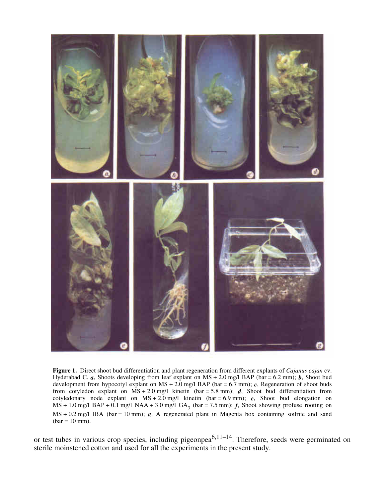

**Figure 1.** Direct shoot bud differentiation and plant regeneration from different explants of *Cajanus cajan* cv. Hyderabad C. *a*, Shoots developing from leaf explant on MS + 2.0 mg/l BAP (bar = 6.2 mm); *b*, Shoot bud development from hypocotyl explant on MS + 2.0 mg/l BAP (bar =  $6.7$  mm); *c*, Regeneration of shoot buds from cotyledon explant on  $\overrightarrow{MS} + 2.0$  mg/l kinetin (bar = 5.8 mm); *d*, Shoot bud differentiation from cotyledonary node explant on MS + 2.0 mg/l kinetin (bar = 6.9 mm); *e*, Shoot bud elongation on  $MS + 1.0$  mg/l  $BAP + 0.1$  mg/l  $NAA + 3.0$  mg/l  $GA_3$  (bar = 7.5 mm); *f*, Shoot showing profuse rooting on MS + 0.2 mg/l IBA (bar = 10 mm); **g**, A regenerated plant in Magenta box containing soilrite and sand  $bar = 10$  mm).

or test tubes in various crop species, including pigeonpea<sup>6,11–14</sup>. Therefore, seeds were germinated on sterile moinstened cotton and used for all the experiments in the present study.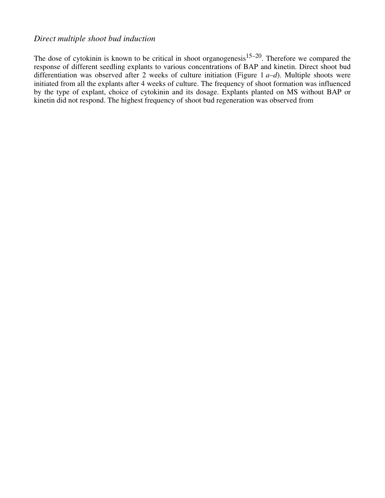## *Direct multiple shoot bud induction*

The dose of cytokinin is known to be critical in shoot organogenesis  $15-20$ . Therefore we compared the response of different seedling explants to various concentrations of BAP and kinetin. Direct shoot bud differentiation was observed after 2 weeks of culture initiation (Figure 1 *a–d*). Multiple shoots were initiated from all the explants after 4 weeks of culture. The frequency of shoot formation was influenced by the type of explant, choice of cytokinin and its dosage. Explants planted on MS without BAP or kinetin did not respond. The highest frequency of shoot bud regeneration was observed from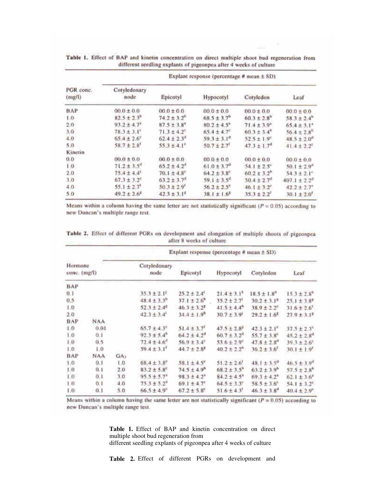| PGR conc.<br>(mg/l) | Explant response (percentage # mean $\pm$ SD). |                             |                             |                             |                              |  |  |  |
|---------------------|------------------------------------------------|-----------------------------|-----------------------------|-----------------------------|------------------------------|--|--|--|
|                     | Cotyledonary<br>node                           | Epicotyl                    | Hypocotyl                   | Cotyledon                   | Leaf                         |  |  |  |
| BAP                 | $00.0 \pm 0.0$                                 | $00.0 \pm 0.0$              | $00.0 \pm 0.0$              | $00.0 \pm 0.0$              | $00.0 \pm 0.0$               |  |  |  |
| 0.1                 | $82.5 + 2.3^{\circ}$                           | $74.2 \pm 3.2^{\circ}$      | $68.5 \pm 3.7^{\circ}$      | $60.3 \pm 2.8$ <sup>3</sup> | $58.3 \pm 2.4$ <sup>*</sup>  |  |  |  |
| 2,0                 | $93.2 \pm 4.7$                                 | $87.5 + 3.8$                | $80.2 \pm 4.5$ <sup>*</sup> | $71.4 \pm 3.9*$             | $65.4 \pm 3.1^*$             |  |  |  |
| 3.0                 | $78.3 \pm 3.1^{\circ}$                         | $71.3 \pm 4.2$              | $65.4 \pm 4.7^{\circ}$      | $60.3 \pm 3.4$ "            | $56.4 \pm 2.8$ <sup>*</sup>  |  |  |  |
| 4.0                 | $65.4 \pm 2.6$                                 | $62.4 \pm 2.3$ <sup>#</sup> | $59.3 \pm 3.1$ <sup>#</sup> | $52.5 \pm 1.9^{\circ}$      | $48.5 \pm 2.0$ <sup>d</sup>  |  |  |  |
| 5.0                 | $58.7 \pm 2.8$ <sup>t</sup>                    | $55.3 \pm 4.1$ <sup>*</sup> | $50.7 \pm 2.7$              | $47.3 \pm 1.7$ <sup>d</sup> | $41.4 \pm 2.2^c$             |  |  |  |
| Kinetin             |                                                |                             |                             |                             |                              |  |  |  |
| 0.0                 | $00.0 \pm 0.0$                                 | $00.0 \pm 0.0$              | $00.0 \pm 0.0$              | $0.0 \pm 0.0$               | $00.0 \pm 0.0$               |  |  |  |
| 1.0                 | $71.2 \pm 3.5$ <sup>4</sup>                    | $65.2 \pm 4.2$              | $61.0 \pm 3.7$ <sup>4</sup> | $54.1 \pm 2.5$              | $50.1 \pm 2.9$ <sup>"</sup>  |  |  |  |
| 2,0                 | $75.4 \pm 4.4$ <sup>6</sup>                    | $70.1 \pm 4.8$ "            | $64.2 \pm 3.8$ <sup>c</sup> | $60.2 \pm 3.2$ <sup>h</sup> | $54.3 \pm 2.1^{\circ}$       |  |  |  |
| 10                  | $67.3 \pm 3.2^{\circ}$                         | $63.2 \pm 3.7$ <sup>6</sup> | $59.1 \pm 3.5$ <sup>4</sup> | $50.4 \pm 2.7$ <sup>#</sup> | $407.1 \pm 2.2$ <sup>#</sup> |  |  |  |
| 4.0                 | $55.1 \pm 2.7$                                 | $50.3 \pm 2.9$ <sup>r</sup> | $56.2 \pm 2.5$              | $46.1 \pm 3.2$              | $42.2 \pm 2.7$               |  |  |  |
| 5.0                 | $49.2 \pm 2.6$                                 | $42.3 \pm 3.1^x$            | $38.1 \pm 1.6^x$            | $35.3 \pm 2.2$              | $30.1 \pm 2.0$               |  |  |  |

Table 1. Effect of BAP and kinetin concentration on direct multiple shoot bud regeneration from different seedling explants of pigeonpea after 4 weeks of culture

Means within a column having the same letter are not statistically significant ( $P = 0.05$ ) according to new Duncan's multiple range test.

|                         |      |                      | Explant response (percentage # mean $\pm$ SD) |                              |                             |                             |                             |  |
|-------------------------|------|----------------------|-----------------------------------------------|------------------------------|-----------------------------|-----------------------------|-----------------------------|--|
| Hormone<br>conc. (mg/l) |      | Cotyledonary<br>node | Epicotyl                                      | Hypocotyl                    | Cotyledon                   | Leaf                        |                             |  |
| BAP                     |      |                      |                                               |                              |                             |                             |                             |  |
| 0.1                     |      |                      | $35.3 \pm 2.1$                                | $25.2 \pm 2.4'$              | $21.4 \pm 3.1^*$            | $18.5 \pm 1.8$ <sup>1</sup> | $15.3 \pm 2.8$ <sup>6</sup> |  |
| 0.5                     |      |                      | $48.4 \pm 3.3$ <sup>0</sup>                   | $37.1 \pm 2.6$               | $35.2 \pm 2.7$              | $30.2 \pm 3.1^*$            | $25.1 \pm 1.8$              |  |
| 1.0                     |      |                      | $52.3 \pm 2.4$ <sup>6</sup>                   | $46.3 \pm 3.2$ <sup>\$</sup> | $41.5 \pm 4.4$ <sup>n</sup> | $38.9 \pm 2.2^c$            | $31.6 \pm 2.6$              |  |
| 2.0                     |      |                      | $42.3 \pm 3.4'$                               | $34.4 \pm 1.9$ <sup>n</sup>  | $30.7 \pm 3.9$              | $29.2 \pm 1.6^2$            | $27.9 \pm 3.1^{\circ}$      |  |
| BAP                     | NAA  |                      |                                               |                              |                             |                             |                             |  |
| 1:0                     | 0.01 |                      | $65.7 \pm 4.3^{\circ}$                        | $51.4 \pm 3.7$ <sup>t</sup>  | $47.5 \pm 2.8$ <sup>e</sup> | $42.3 \pm 2.1^e$            | $37.5 \pm 2.3^c$            |  |
| 1.0                     | 0.1  |                      | $92.3 \pm 5.4$ <sup>h</sup>                   | $64.2 \pm 4.2^0$             | $60.7 \pm 3.2$ <sup>0</sup> | $55.7 \pm 3.8^e$            | $45.2 \pm 2.8^{\circ}$      |  |
| 1.0.                    | 0.5  |                      | $72.4 + 4.6$ <sup>*</sup>                     | $56.9 \pm 3.4$               | $516 + 29$                  | $47.8 \pm 2.8$ <sup>d</sup> | $39.3 \pm 2.6^{\circ}$      |  |
| 1.0                     | 1.0  |                      | $59.4 \pm 3.1'$                               | $44.7 \pm 2.8$               | $40.2 + 2.2h$               | $36.2 \pm 3.6$              | $30.1 \pm 1.9$              |  |
| BAP                     | NAA  | GAS                  |                                               |                              |                             |                             |                             |  |
| 1.0                     | 0,1  | 1,0                  | $68.4 \pm 3.8$ <sup>e</sup>                   | $58.1 \pm 4.5$               | $51.2 \pm 2.6$              | $48.1 \pm 3.5^{\circ}$      | $46.5 \pm 3.9^d$            |  |
| 1.0.1                   | 0,1  | 2.0                  | $83.2 \pm 5.8^{\circ}$                        | $74.5 \pm 4.9$ <sup>n</sup>  | $68.2 \pm 3.5^{\circ}$      | $63.2 \pm 3.9^b$            | $57.5 \pm 2.8$ <sup>h</sup> |  |
| 1.0                     | 0.1  | 3.0                  | $95.5 \pm 5.7$ <sup>a</sup>                   | $98.3 + 4.2$                 | $84.2 + 4.5$                | $69.3 \pm 4.2^*$            | $62.1 \pm 3.6^*$            |  |
| 1:0                     | 0.1  | 4.0                  | $75.3 \pm 5.2^{\circ}$                        | $69.1 \pm 4.7$               | $64.5 + 3.3$                | $58.5 \pm 3.6^c$            | $54.1 \pm 1.2$              |  |
| 1.0                     | 0.1  | 5.0                  | $66.5 \pm 4.9$ <sup>e</sup>                   | $67.2 \pm 5.8$               | $51.6 \pm 4.3$              | $46.3 \pm 3.8$ <sup>a</sup> | $40.4 \pm 2.9$ <sup>e</sup> |  |

Table 2. Effect of different PGRs on development and elongation of multiple shoots of pigeonpeaafter 8 weeks of culture

Means within a column having the same letter are not statistically significant  $(P = 0.05)$  according to new Duncan's multiple range test.

> **Table 1.** Effect of BAP and kinetin concentration on direct multiple shoot bud regeneration from different seedling explants of pigeonpea after 4 weeks of culture

> **Table 2.** Effect of different PGRs on development and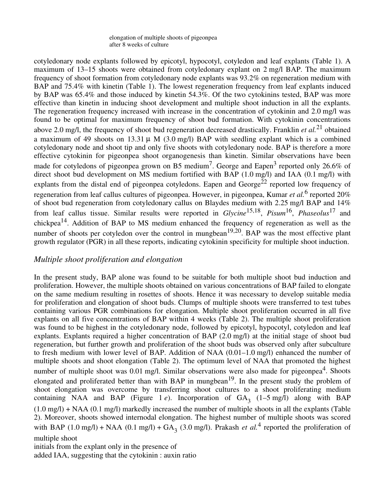cotyledonary node explants followed by epicotyl, hypocotyl, cotyledon and leaf explants (Table 1). A maximum of 13–15 shoots were obtained from cotyledonary explant on 2 mg/l BAP. The maximum frequency of shoot formation from cotyledonary node explants was 93.2% on regeneration medium with BAP and 75.4% with kinetin (Table 1). The lowest regeneration frequency from leaf explants induced by BAP was 65.4% and those induced by kinetin 54.3%. Of the two cytokinins tested, BAP was more effective than kinetin in inducing shoot development and multiple shoot induction in all the explants. The regeneration frequency increased with increase in the concentration of cytokinin and 2.0 mg/l was found to be optimal for maximum frequency of shoot bud formation. With cytokinin concentrations above 2.0 mg/l, the frequency of shoot bud regeneration decreased drastically. Franklin *et al.*<sup>21</sup> obtained a maximum of 49 shoots on 13.31  $\mu$  M (3.0 mg/l) BAP with seedling explant which is a combined cotyledonary node and shoot tip and only five shoots with cotyledonary node. BAP is therefore a more effective cytokinin for pigeonpea shoot organogenesis than kinetin. Similar observations have been made for cotyledons of pigeonpea grown on B5 medium<sup>7</sup>. George and Eapen<sup>3</sup> reported only 26.6% of direct shoot bud development on MS medium fortified with BAP (1.0 mg/l) and IAA (0.1 mg/l) with explants from the distal end of pigeonpea cotyledons. Eapen and George<sup>22</sup> reported low frequency of regeneration from leaf callus cultures of pigeonpea. However, in pigeonpea, Kumar *et al.*<sup>6</sup> reported 20% of shoot bud regeneration from cotyledonary callus on Blaydes medium with 2.25 mg/l BAP and 14% from leaf callus tissue. Similar results were reported in *Glycine*<sup>15,18</sup>, *Pisum*<sup>16</sup>, *Phaseolus*<sup>17</sup> and chickpea<sup>14</sup>. Addition of BAP to MS medium enhanced the frequency of regeneration as well as the number of shoots per cotyledon over the control in mungbean<sup>19,20</sup>. BAP was the most effective plant growth regulator (PGR) in all these reports, indicating cytokinin specificity for multiple shoot induction.

### *Multiple shoot proliferation and elongation*

In the present study, BAP alone was found to be suitable for both multiple shoot bud induction and proliferation. However, the multiple shoots obtained on various concentrations of BAP failed to elongate on the same medium resulting in rosettes of shoots. Hence it was necessary to develop suitable media for proliferation and elongation of shoot buds. Clumps of multiple shoots were transferred to test tubes containing various PGR combinations for elongation. Multiple shoot proliferation occurred in all five explants on all five concentrations of BAP within 4 weeks (Table 2). The multiple shoot proliferation was found to be highest in the cotyledonary node, followed by epicotyl, hypocotyl, cotyledon and leaf explants. Explants required a higher concentration of BAP (2.0 mg/l) at the initial stage of shoot bud regeneration, but further growth and proliferation of the shoot buds was observed only after subculture to fresh medium with lower level of BAP. Addition of NAA (0.01–1.0 mg/l) enhanced the number of multiple shoots and shoot elongation (Table 2). The optimum level of NAA that promoted the highest number of multiple shoot was 0.01 mg/l. Similar observations were also made for pigeonpea<sup>4</sup>. Shoots elongated and proliferated better than with BAP in mungbean<sup>19</sup>. In the present study the problem of shoot elongation was overcome by transferring shoot cultures to a shoot proliferating medium containing NAA and BAP (Figure 1  $e$ ). Incorporation of  $GA_3$  (1–5 mg/l) along with BAP  $(1.0 \text{ mg/l}) + \text{NAA}$   $(0.1 \text{ mg/l})$  markedly increased the number of multiple shoots in all the explants (Table 2). Moreover, shoots showed internodal elongation. The highest number of multiple shoots was scored with BAP  $(1.0 \text{ mg/l}) + \text{NAA}$   $(0.1 \text{ mg/l}) + \text{GA}_3$   $(3.0 \text{ mg/l})$ . Prakash *et al.*<sup>4</sup> reported the proliferation of multiple shoot initials from the explant only in the presence of

added IAA, suggesting that the cytokinin : auxin ratio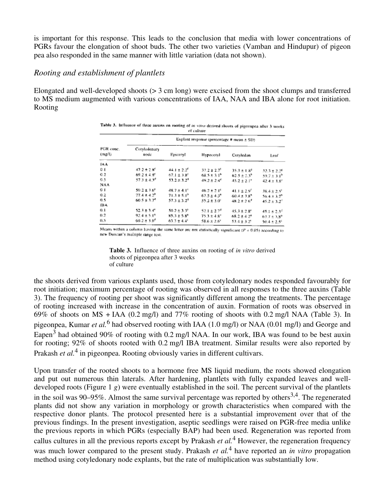is important for this response. This leads to the conclusion that media with lower concentrations of PGRs favour the elongation of shoot buds. The other two varieties (Vamban and Hindupur) of pigeon pea also responded in the same manner with little variation (data not shown).

#### *Rooting and establishment of plantlets*

Elongated and well-developed shoots (> 3 cm long) were excised from the shoot clumps and transferred to MS medium augmented with various concentrations of IAA, NAA and IBA alone for root initiation. Rooting

| PGR conc.<br>(m <sub>2</sub> 7) | Explant response (percentage # mean ± SD) |                             |                         |                        |                              |  |  |  |
|---------------------------------|-------------------------------------------|-----------------------------|-------------------------|------------------------|------------------------------|--|--|--|
|                                 | Cotyledonary<br>node                      | Epicotyl                    | Hypocotyl               | Cotyledon              | Leaf                         |  |  |  |
| IAA                             |                                           |                             |                         |                        |                              |  |  |  |
| 0.1                             | $47.2 + 2.8$                              | $44.1 \pm 2.2$              | $37.2 \pm 2.7^{\circ}$  | $35.3 \pm 1.8^{\circ}$ | 32.3 ± 2.2 <sup>4</sup>      |  |  |  |
| 0.2                             | 69.2 ± 4.8"                               | $67.1 \pm 3.8^{\circ}$      | 68.5 + 3.1 <sup>b</sup> | $62.5 \pm 2.3^{\circ}$ | 59.7 ± 3.1°                  |  |  |  |
| 0.5                             | $57.3 \pm 4.3^{\circ}$                    | $53.2 \pm 3.2^*$            | $49.2 \pm 2.4^{\circ}$  | $45.2 \pm 2.1^{\circ}$ | $42.4 + 3.8^{\circ}$         |  |  |  |
| NAA                             |                                           |                             |                         |                        |                              |  |  |  |
| 0.1                             | $50.2 \pm 3.6^{\circ}$                    | $48.7 \pm 4.1^{\circ}$      | 46.2 ± 2.1°             | $41.1 \pm 2.9'$        | $35.4 \pm 2.5$ <sup>1</sup>  |  |  |  |
| 0.2                             | $77.4 + 4.2^{\circ}$                      | $71.3 \pm 5.1^{\circ}$      | 67.5 ± 4.3 <sup>0</sup> | $60.4 \pm 3.8^{\circ}$ | $56.4 \pm 3.7$               |  |  |  |
| 0.5                             | 60.5 ± 3.7 <sup>4</sup>                   | $57.3 \pm 3.2$ <sup>1</sup> | $55.2 \pm 3.0^{\circ}$  | 48.2±26 <sup>0</sup>   | $45.2 \pm 3.2$ <sup>11</sup> |  |  |  |
| <b>IBA</b>                      |                                           |                             |                         |                        |                              |  |  |  |
| ū.t                             | $52.3 \pm 3.4^{\circ}$                    | $50.2 \pm 3.3^{\circ}$      | 52.1 ± 2.7°             | $45.3 \pm 2.8^{\circ}$ | $45.1 \pm 2.3^{\circ}$       |  |  |  |
| 0.2                             | $92.4 \pm 5.1^{\circ}$                    | $85.3 \pm 5.8^{\circ}$      | $75.3 + 4.8^{\circ}$    | 68.2 ± 4 2*            | $63.7 \pm 3.8$ <sup>3</sup>  |  |  |  |
| 0.5                             | $60.2 \pm 3.6^{\circ}$                    | 63.3 ± 4.4°                 | $58.6 \pm 2.6^{\circ}$  | 53.4 ± 3.25            | $50.4 + 2.5$                 |  |  |  |

Means within a column having the same letter are not statistically significant ( $P = 0.05$ ) according to new Duncan's multiple range test.

**Table 3.** Influence of three auxins on rooting of *in vitro* derived shoots of pigeonpea after 3 weeks of culture

the shoots derived from various explants used, those from cotyledonary nodes responded favourably for root initiation; maximum percentage of rooting was observed in all responses to the three auxins (Table 3). The frequency of rooting per shoot was significantly different among the treatments. The percentage of rooting increased with increase in the concentration of auxin. Formation of roots was observed in 69% of shoots on MS + IAA (0.2 mg/l) and 77% rooting of shoots with 0.2 mg/l NAA (Table 3). In pigeonpea, Kumar *et al.* 6 had observed rooting with IAA (1.0 mg/l) or NAA (0.01 mg/l) and George and Eapen<sup>3</sup> had obtained 90% of rooting with 0.2 mg/l NAA. In our work, IBA was found to be best auxin for rooting; 92% of shoots rooted with 0.2 mg/l IBA treatment. Similar results were also reported by Prakash *et al*.<sup>4</sup> in pigeonpea. Rooting obviously varies in different cultivars.

Upon transfer of the rooted shoots to a hormone free MS liquid medium, the roots showed elongation and put out numerous thin laterals. After hardening, plantlets with fully expanded leaves and welldeveloped roots (Figure 1 *g*) were eventually established in the soil. The percent survival of the plantlets in the soil was 90–95%. Almost the same survival percentage was reported by others<sup>3,4</sup>. The regenerated plants did not show any variation in morphology or growth characteristics when compared with the respective donor plants. The protocol presented here is a substantial improvement over that of the previous findings. In the present investigation, aseptic seedlings were raised on PGR-free media unlike the previous reports in which PGRs (especially BAP) had been used. Regeneration was reported from callus cultures in all the previous reports except by Prakash *et al.* <sup>4</sup> However, the regeneration frequency was much lower compared to the present study. Prakash *et al.* 4 have reported an *in vitro* propagation method using cotyledonary node explants, but the rate of multiplication was substantially low.